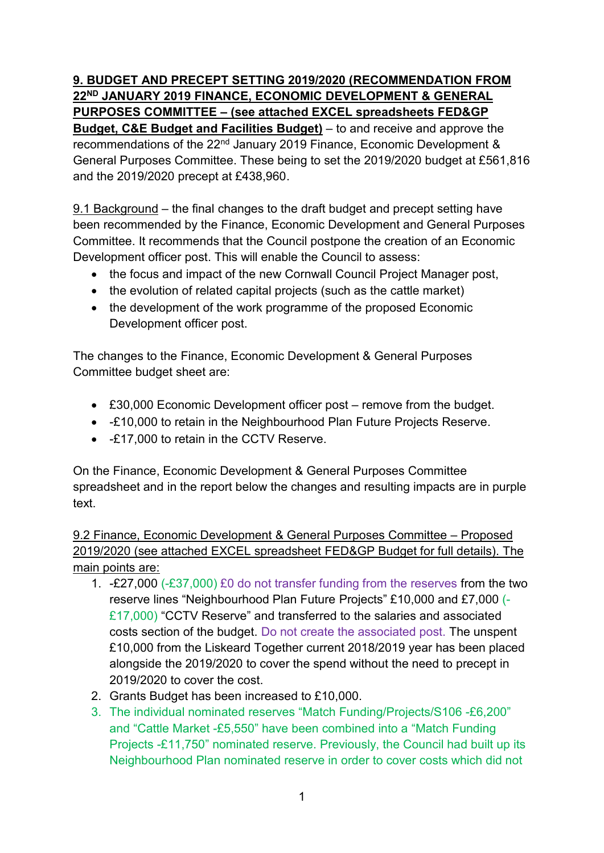# **9. BUDGET AND PRECEPT SETTING 2019/2020 (RECOMMENDATION FROM 22ND JANUARY 2019 FINANCE, ECONOMIC DEVELOPMENT & GENERAL PURPOSES COMMITTEE – (see attached EXCEL spreadsheets FED&GP**

**Budget, C&E Budget and Facilities Budget)** – to and receive and approve the recommendations of the 22<sup>nd</sup> January 2019 Finance, Economic Development & General Purposes Committee. These being to set the 2019/2020 budget at £561,816 and the 2019/2020 precept at £438,960.

9.1 Background – the final changes to the draft budget and precept setting have been recommended by the Finance, Economic Development and General Purposes Committee. It recommends that the Council postpone the creation of an Economic Development officer post. This will enable the Council to assess:

- the focus and impact of the new Cornwall Council Project Manager post,
- the evolution of related capital projects (such as the cattle market)
- the development of the work programme of the proposed Economic Development officer post.

The changes to the Finance, Economic Development & General Purposes Committee budget sheet are:

- £30,000 Economic Development officer post remove from the budget.
- -£10,000 to retain in the Neighbourhood Plan Future Projects Reserve.
- -£17,000 to retain in the CCTV Reserve.

On the Finance, Economic Development & General Purposes Committee spreadsheet and in the report below the changes and resulting impacts are in purple text.

9.2 Finance, Economic Development & General Purposes Committee – Proposed 2019/2020 (see attached EXCEL spreadsheet FED&GP Budget for full details). The main points are:

- 1. -£27,000 (-£37,000) £0 do not transfer funding from the reserves from the two reserve lines "Neighbourhood Plan Future Projects" £10,000 and £7,000 (- £17,000) "CCTV Reserve" and transferred to the salaries and associated costs section of the budget. Do not create the associated post. The unspent £10,000 from the Liskeard Together current 2018/2019 year has been placed alongside the 2019/2020 to cover the spend without the need to precept in 2019/2020 to cover the cost.
- 2. Grants Budget has been increased to £10,000.
- 3. The individual nominated reserves "Match Funding/Projects/S106 -£6,200" and "Cattle Market -£5,550" have been combined into a "Match Funding Projects -£11,750" nominated reserve. Previously, the Council had built up its Neighbourhood Plan nominated reserve in order to cover costs which did not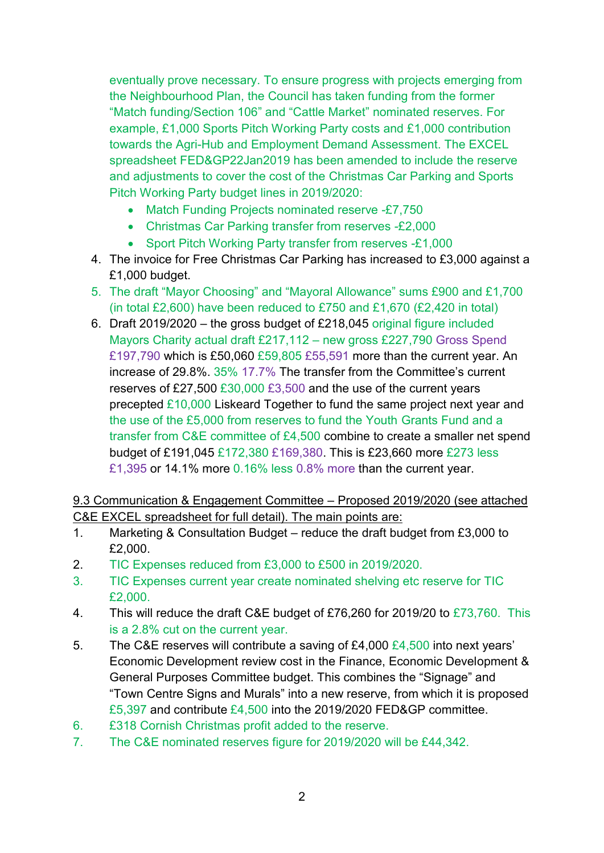eventually prove necessary. To ensure progress with projects emerging from the Neighbourhood Plan, the Council has taken funding from the former "Match funding/Section 106" and "Cattle Market" nominated reserves. For example, £1,000 Sports Pitch Working Party costs and £1,000 contribution towards the Agri-Hub and Employment Demand Assessment. The EXCEL spreadsheet FED&GP22Jan2019 has been amended to include the reserve and adjustments to cover the cost of the Christmas Car Parking and Sports Pitch Working Party budget lines in 2019/2020:

- Match Funding Projects nominated reserve -£7,750
- Christmas Car Parking transfer from reserves -£2,000
- Sport Pitch Working Party transfer from reserves -£1,000
- 4. The invoice for Free Christmas Car Parking has increased to £3,000 against a £1,000 budget.
- 5. The draft "Mayor Choosing" and "Mayoral Allowance" sums £900 and £1,700 (in total £2,600) have been reduced to £750 and £1,670 (£2,420 in total)
- 6. Draft 2019/2020 the gross budget of £218,045 original figure included Mayors Charity actual draft £217,112 – new gross £227,790 Gross Spend £197,790 which is £50,060 £59,805 £55,591 more than the current year. An increase of 29.8%. 35% 17.7% The transfer from the Committee's current reserves of £27,500 £30,000 £3,500 and the use of the current years precepted £10,000 Liskeard Together to fund the same project next year and the use of the £5,000 from reserves to fund the Youth Grants Fund and a transfer from C&E committee of £4,500 combine to create a smaller net spend budget of £191,045 £172,380 £169,380. This is £23,660 more £273 less £1,395 or 14.1% more 0.16% less 0.8% more than the current year.

9.3 Communication & Engagement Committee – Proposed 2019/2020 (see attached C&E EXCEL spreadsheet for full detail). The main points are:

- 1. Marketing & Consultation Budget reduce the draft budget from £3,000 to £2,000.
- 2. TIC Expenses reduced from £3,000 to £500 in 2019/2020.
- 3. TIC Expenses current year create nominated shelving etc reserve for TIC £2,000.
- 4. This will reduce the draft C&E budget of £76,260 for 2019/20 to £73,760. This is a 2.8% cut on the current year.
- 5. The C&E reserves will contribute a saving of £4,000  $£4,500$  into next years' Economic Development review cost in the Finance, Economic Development & General Purposes Committee budget. This combines the "Signage" and "Town Centre Signs and Murals" into a new reserve, from which it is proposed £5,397 and contribute £4,500 into the 2019/2020 FED&GP committee.
- 6. £318 Cornish Christmas profit added to the reserve.
- 7. The C&E nominated reserves figure for 2019/2020 will be £44,342.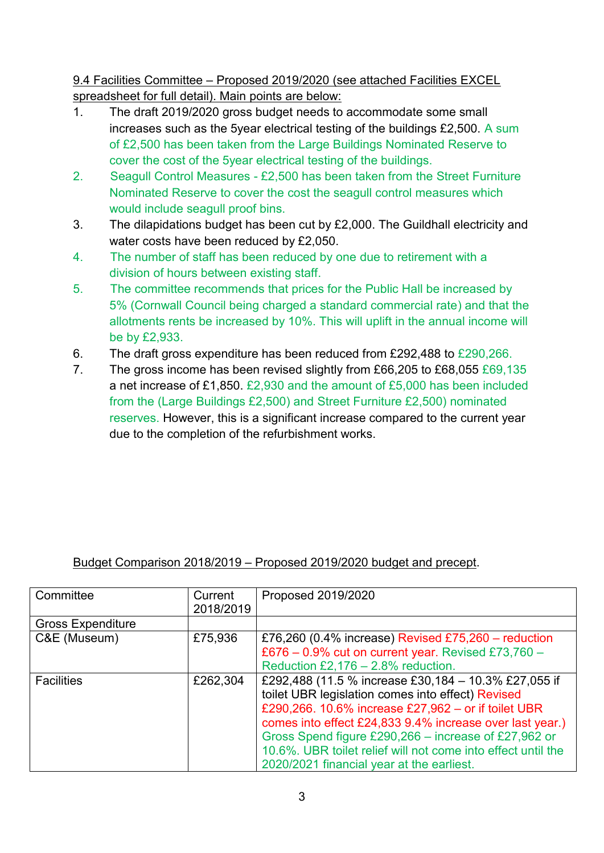9.4 Facilities Committee – Proposed 2019/2020 (see attached Facilities EXCEL spreadsheet for full detail). Main points are below:

- 1. The draft 2019/2020 gross budget needs to accommodate some small increases such as the 5year electrical testing of the buildings £2,500. A sum of £2,500 has been taken from the Large Buildings Nominated Reserve to cover the cost of the 5year electrical testing of the buildings.
- 2. Seagull Control Measures £2,500 has been taken from the Street Furniture Nominated Reserve to cover the cost the seagull control measures which would include seagull proof bins.
- 3. The dilapidations budget has been cut by £2,000. The Guildhall electricity and water costs have been reduced by £2,050.
- 4. The number of staff has been reduced by one due to retirement with a division of hours between existing staff.
- 5. The committee recommends that prices for the Public Hall be increased by 5% (Cornwall Council being charged a standard commercial rate) and that the allotments rents be increased by 10%. This will uplift in the annual income will be by £2,933.
- 6. The draft gross expenditure has been reduced from £292,488 to £290,266.
- 7. The gross income has been revised slightly from £66,205 to £68,055 £69,135 a net increase of £1,850. £2,930 and the amount of £5,000 has been included from the (Large Buildings £2,500) and Street Furniture £2,500) nominated reserves. However, this is a significant increase compared to the current year due to the completion of the refurbishment works.

# Budget Comparison 2018/2019 – Proposed 2019/2020 budget and precept.

| Committee                | Current<br>2018/2019 | Proposed 2019/2020                                           |
|--------------------------|----------------------|--------------------------------------------------------------|
| <b>Gross Expenditure</b> |                      |                                                              |
| C&E (Museum)             | £75,936              | £76,260 (0.4% increase) Revised £75,260 – reduction          |
|                          |                      | £676 – 0.9% cut on current year. Revised £73,760 –           |
|                          |                      | Reduction £2,176 $- 2.8%$ reduction.                         |
| <b>Facilities</b>        | £262,304             | £292,488 (11.5 % increase £30,184 - 10.3% £27,055 if         |
|                          |                      | toilet UBR legislation comes into effect) Revised            |
|                          |                      | £290,266. 10.6% increase £27,962 – or if toilet UBR          |
|                          |                      | comes into effect £24,833 9.4% increase over last year.)     |
|                          |                      | Gross Spend figure £290,266 – increase of £27,962 or         |
|                          |                      | 10.6%. UBR toilet relief will not come into effect until the |
|                          |                      | 2020/2021 financial year at the earliest.                    |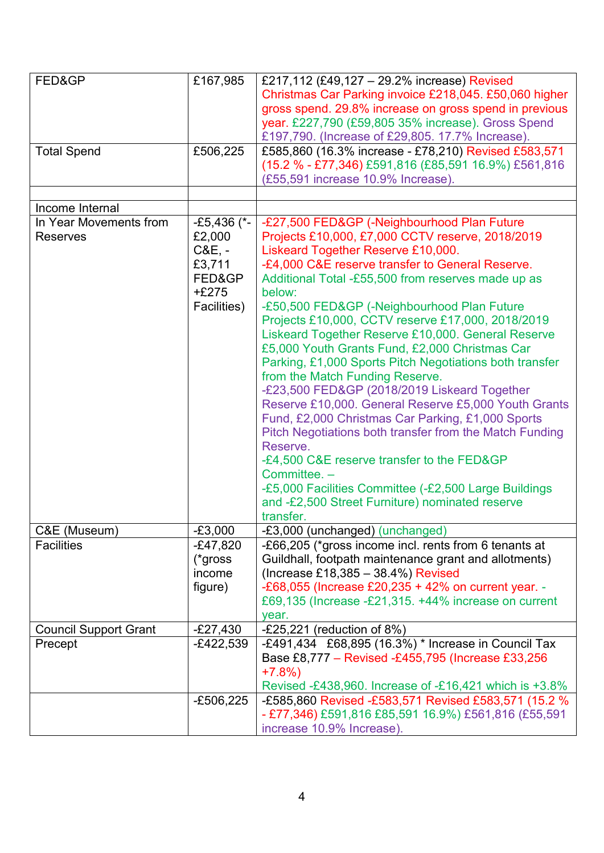| FED&GP                       | £167,985      | £217,112 (£49,127 - 29.2% increase) Revised             |
|------------------------------|---------------|---------------------------------------------------------|
|                              |               | Christmas Car Parking invoice £218,045. £50,060 higher  |
|                              |               | gross spend. 29.8% increase on gross spend in previous  |
|                              |               | year. £227,790 (£59,805 35% increase). Gross Spend      |
|                              |               | £197,790. (Increase of £29,805. 17.7% Increase).        |
|                              |               |                                                         |
| <b>Total Spend</b>           | £506,225      | £585,860 (16.3% increase - £78,210) Revised £583,571    |
|                              |               | (15.2 % - £77,346) £591,816 (£85,591 16.9%) £561,816    |
|                              |               | (£55,591 increase 10.9% Increase).                      |
|                              |               |                                                         |
| Income Internal              |               |                                                         |
| In Year Movements from       | $-£5,436$ (*- | -£27,500 FED&GP (-Neighbourhood Plan Future             |
| <b>Reserves</b>              | £2,000        | Projects £10,000, £7,000 CCTV reserve, 2018/2019        |
|                              | $C&E, -$      | Liskeard Together Reserve £10,000.                      |
|                              | £3,711        | -£4,000 C&E reserve transfer to General Reserve.        |
|                              | FED&GP        | Additional Total -£55,500 from reserves made up as      |
|                              | $+£275$       | below:                                                  |
|                              |               |                                                         |
|                              | Facilities)   | -£50,500 FED&GP (-Neighbourhood Plan Future             |
|                              |               | Projects £10,000, CCTV reserve £17,000, 2018/2019       |
|                              |               | Liskeard Together Reserve £10,000. General Reserve      |
|                              |               | £5,000 Youth Grants Fund, £2,000 Christmas Car          |
|                              |               | Parking, £1,000 Sports Pitch Negotiations both transfer |
|                              |               | from the Match Funding Reserve.                         |
|                              |               | -£23,500 FED&GP (2018/2019 Liskeard Together            |
|                              |               | Reserve £10,000. General Reserve £5,000 Youth Grants    |
|                              |               | Fund, £2,000 Christmas Car Parking, £1,000 Sports       |
|                              |               | Pitch Negotiations both transfer from the Match Funding |
|                              |               | Reserve.                                                |
|                              |               |                                                         |
|                              |               | -£4,500 C&E reserve transfer to the FED&GP              |
|                              |               | Committee. -                                            |
|                              |               | -£5,000 Facilities Committee (-£2,500 Large Buildings   |
|                              |               | and -£2,500 Street Furniture) nominated reserve         |
|                              |               | transfer.                                               |
| C&E (Museum)                 | $-£3,000$     | -£3,000 (unchanged) (unchanged)                         |
| <b>Facilities</b>            | $-E47,820$    | -£66,205 (*gross income incl. rents from 6 tenants at   |
|                              | (*gross       | Guildhall, footpath maintenance grant and allotments)   |
|                              | income        | (Increase £18,385 - 38.4%) Revised                      |
|                              | figure)       | -£68,055 (Increase £20,235 + 42% on current year. -     |
|                              |               | £69,135 (Increase -£21,315. +44% increase on current    |
|                              |               | year.                                                   |
| <b>Council Support Grant</b> | $-E27,430$    | -£25,221 (reduction of $8\%$ )                          |
|                              |               |                                                         |
| Precept                      | $-E422,539$   | -£491,434 £68,895 (16.3%) * Increase in Council Tax     |
|                              |               | Base £8,777 - Revised -£455,795 (Increase £33,256       |
|                              |               | $+7.8%$                                                 |
|                              |               | Revised -£438,960. Increase of -£16,421 which is +3.8%  |
|                              | $-£506,225$   | -£585,860 Revised -£583,571 Revised £583,571 (15.2 %    |
|                              |               | - £77,346) £591,816 £85,591 16.9%) £561,816 (£55,591    |
|                              |               | increase 10.9% Increase).                               |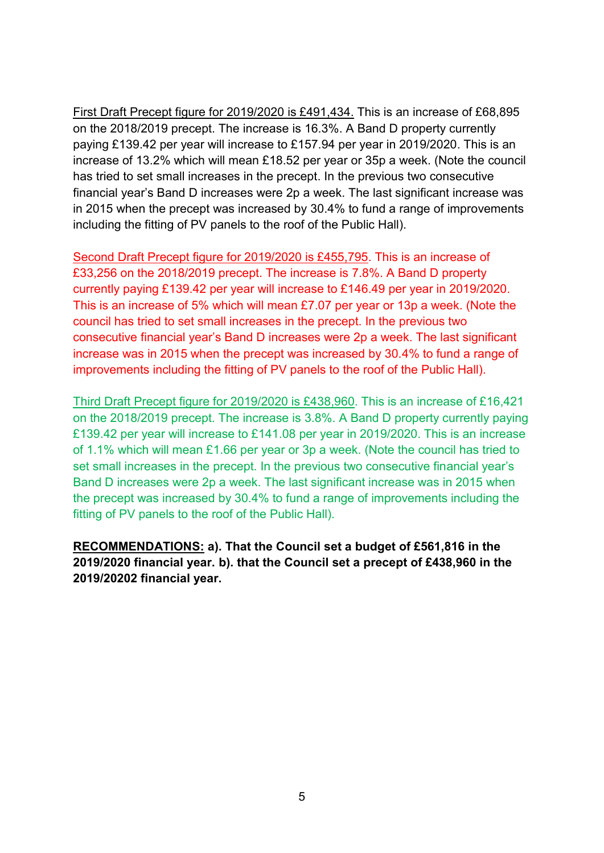First Draft Precept figure for 2019/2020 is £491,434. This is an increase of £68,895 on the 2018/2019 precept. The increase is 16.3%. A Band D property currently paying £139.42 per year will increase to £157.94 per year in 2019/2020. This is an increase of 13.2% which will mean £18.52 per year or 35p a week. (Note the council has tried to set small increases in the precept. In the previous two consecutive financial year's Band D increases were 2p a week. The last significant increase was in 2015 when the precept was increased by 30.4% to fund a range of improvements including the fitting of PV panels to the roof of the Public Hall).

Second Draft Precept figure for 2019/2020 is £455,795. This is an increase of £33,256 on the 2018/2019 precept. The increase is 7.8%. A Band D property currently paying £139.42 per year will increase to £146.49 per year in 2019/2020. This is an increase of 5% which will mean £7.07 per year or 13p a week. (Note the council has tried to set small increases in the precept. In the previous two consecutive financial year's Band D increases were 2p a week. The last significant increase was in 2015 when the precept was increased by 30.4% to fund a range of improvements including the fitting of PV panels to the roof of the Public Hall).

Third Draft Precept figure for 2019/2020 is £438,960. This is an increase of £16,421 on the 2018/2019 precept. The increase is 3.8%. A Band D property currently paying £139.42 per year will increase to £141.08 per year in 2019/2020. This is an increase of 1.1% which will mean £1.66 per year or 3p a week. (Note the council has tried to set small increases in the precept. In the previous two consecutive financial year's Band D increases were 2p a week. The last significant increase was in 2015 when the precept was increased by 30.4% to fund a range of improvements including the fitting of PV panels to the roof of the Public Hall).

**RECOMMENDATIONS: a). That the Council set a budget of £561,816 in the 2019/2020 financial year. b). that the Council set a precept of £438,960 in the 2019/20202 financial year.**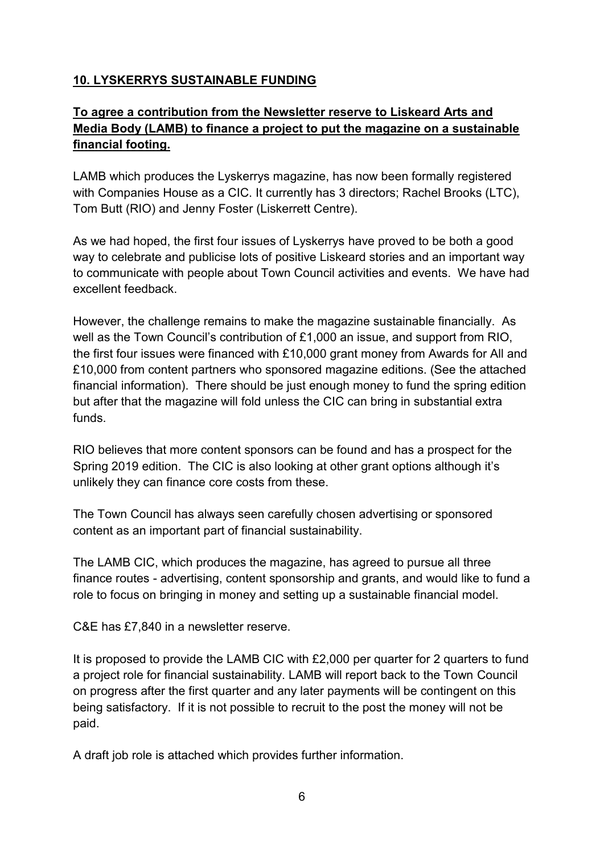# **10. LYSKERRYS SUSTAINABLE FUNDING**

# **To agree a contribution from the Newsletter reserve to Liskeard Arts and Media Body (LAMB) to finance a project to put the magazine on a sustainable financial footing.**

LAMB which produces the Lyskerrys magazine, has now been formally registered with Companies House as a CIC. It currently has 3 directors; Rachel Brooks (LTC), Tom Butt (RIO) and Jenny Foster (Liskerrett Centre).

As we had hoped, the first four issues of Lyskerrys have proved to be both a good way to celebrate and publicise lots of positive Liskeard stories and an important way to communicate with people about Town Council activities and events. We have had excellent feedback.

However, the challenge remains to make the magazine sustainable financially. As well as the Town Council's contribution of £1,000 an issue, and support from RIO, the first four issues were financed with £10,000 grant money from Awards for All and £10,000 from content partners who sponsored magazine editions. (See the attached financial information). There should be just enough money to fund the spring edition but after that the magazine will fold unless the CIC can bring in substantial extra funds.

RIO believes that more content sponsors can be found and has a prospect for the Spring 2019 edition. The CIC is also looking at other grant options although it's unlikely they can finance core costs from these.

The Town Council has always seen carefully chosen advertising or sponsored content as an important part of financial sustainability.

The LAMB CIC, which produces the magazine, has agreed to pursue all three finance routes - advertising, content sponsorship and grants, and would like to fund a role to focus on bringing in money and setting up a sustainable financial model.

C&E has £7,840 in a newsletter reserve.

It is proposed to provide the LAMB CIC with £2,000 per quarter for 2 quarters to fund a project role for financial sustainability. LAMB will report back to the Town Council on progress after the first quarter and any later payments will be contingent on this being satisfactory. If it is not possible to recruit to the post the money will not be paid.

A draft job role is attached which provides further information.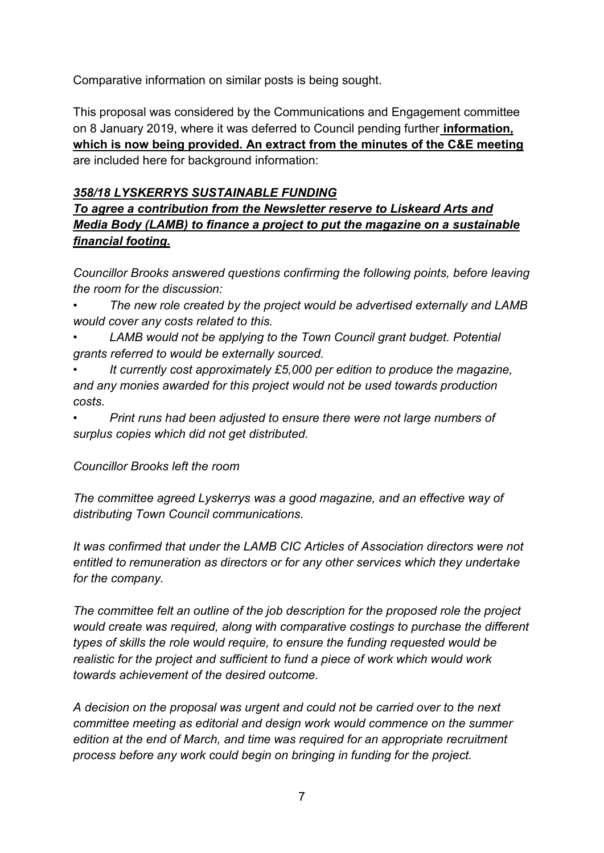Comparative information on similar posts is being sought.

This proposal was considered by the Communications and Engagement committee on 8 January 2019, where it was deferred to Council pending further **information, which is now being provided. An extract from the minutes of the C&E meeting**  are included here for background information:

### *358/18 LYSKERRYS SUSTAINABLE FUNDING*

*To agree a contribution from the Newsletter reserve to Liskeard Arts and Media Body (LAMB) to finance a project to put the magazine on a sustainable financial footing.*

*Councillor Brooks answered questions confirming the following points, before leaving the room for the discussion:*

*• The new role created by the project would be advertised externally and LAMB would cover any costs related to this.*

- *• LAMB would not be applying to the Town Council grant budget. Potential grants referred to would be externally sourced.*
- *• It currently cost approximately £5,000 per edition to produce the magazine, and any monies awarded for this project would not be used towards production costs.*

*• Print runs had been adjusted to ensure there were not large numbers of surplus copies which did not get distributed.*

#### *Councillor Brooks left the room*

*The committee agreed Lyskerrys was a good magazine, and an effective way of distributing Town Council communications.*

*It was confirmed that under the LAMB CIC Articles of Association directors were not entitled to remuneration as directors or for any other services which they undertake for the company.*

*The committee felt an outline of the job description for the proposed role the project would create was required, along with comparative costings to purchase the different types of skills the role would require, to ensure the funding requested would be realistic for the project and sufficient to fund a piece of work which would work towards achievement of the desired outcome.*

*A decision on the proposal was urgent and could not be carried over to the next committee meeting as editorial and design work would commence on the summer edition at the end of March, and time was required for an appropriate recruitment process before any work could begin on bringing in funding for the project.*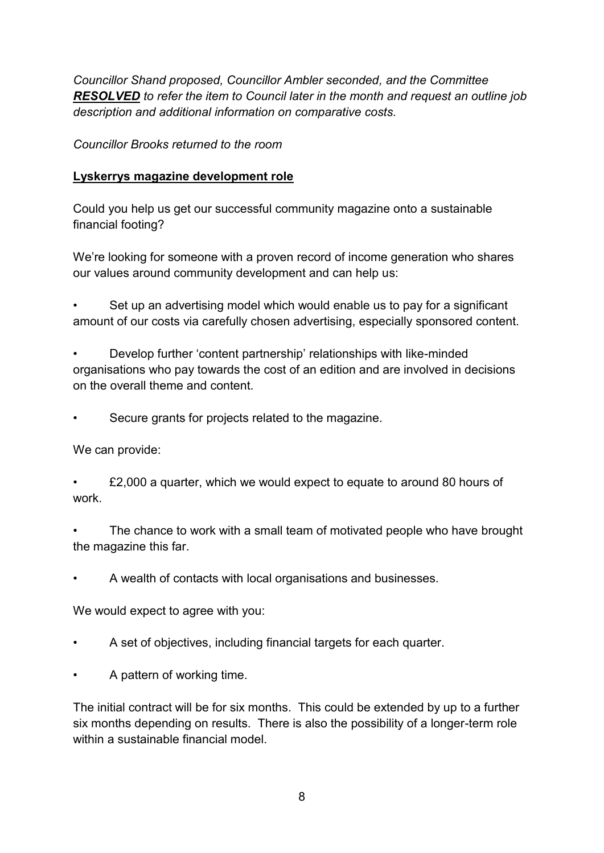*Councillor Shand proposed, Councillor Ambler seconded, and the Committee RESOLVED to refer the item to Council later in the month and request an outline job description and additional information on comparative costs.*

*Councillor Brooks returned to the room*

# **Lyskerrys magazine development role**

Could you help us get our successful community magazine onto a sustainable financial footing?

We're looking for someone with a proven record of income generation who shares our values around community development and can help us:

Set up an advertising model which would enable us to pay for a significant amount of our costs via carefully chosen advertising, especially sponsored content.

• Develop further 'content partnership' relationships with like-minded organisations who pay towards the cost of an edition and are involved in decisions on the overall theme and content.

• Secure grants for projects related to the magazine.

We can provide:

• £2,000 a quarter, which we would expect to equate to around 80 hours of work.

The chance to work with a small team of motivated people who have brought the magazine this far.

• A wealth of contacts with local organisations and businesses.

We would expect to agree with you:

- A set of objectives, including financial targets for each quarter.
- A pattern of working time.

The initial contract will be for six months. This could be extended by up to a further six months depending on results. There is also the possibility of a longer-term role within a sustainable financial model